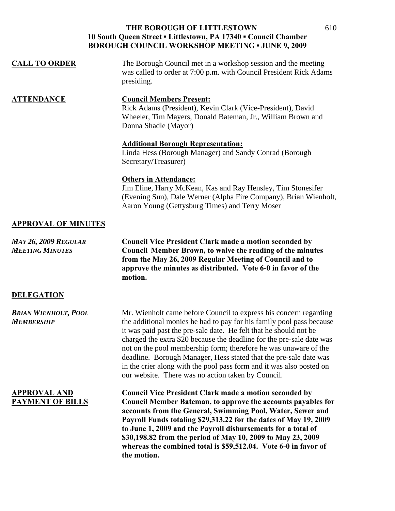#### **THE BOROUGH OF LITTLESTOWN 10 South Queen Street ▪ Littlestown, PA 17340 ▪ Council Chamber BOROUGH COUNCIL WORKSHOP MEETING ▪ JUNE 9, 2009**

| <b>CALL TO ORDER</b> | The Borough Council met in a workshop session and the meeting<br>was called to order at 7:00 p.m. with Council President Rick Adams<br>presiding.                                     |
|----------------------|---------------------------------------------------------------------------------------------------------------------------------------------------------------------------------------|
| <b>ATTENDANCE</b>    | <b>Council Members Present:</b><br>Rick Adams (President), Kevin Clark (Vice-President), David<br>Wheeler, Tim Mayers, Donald Bateman, Jr., William Brown and<br>Donna Shadle (Mayor) |

## **Additional Borough Representation:**

Linda Hess (Borough Manager) and Sandy Conrad (Borough Secretary/Treasurer)

#### **Others in Attendance:**

Jim Eline, Harry McKean, Kas and Ray Hensley, Tim Stonesifer (Evening Sun), Dale Werner (Alpha Fire Company), Brian Wienholt, Aaron Young (Gettysburg Times) and Terry Moser

### **APPROVAL OF MINUTES**

*MAY 26, 2009 REGULAR* **Council Vice President Clark made a motion seconded by**  *MEETING MINUTES* **Council Member Brown, to waive the reading of the minutes from the May 26, 2009 Regular Meeting of Council and to approve the minutes as distributed. Vote 6-0 in favor of the motion.** 

#### **DELEGATION**

*BRIAN WIENHOLT, POOL* Mr. Wienholt came before Council to express his concern regarding *MEMBERSHIP* the additional monies he had to pay for his family pool pass because it was paid past the pre-sale date. He felt that he should not be

charged the extra \$20 because the deadline for the pre-sale date was not on the pool membership form; therefore he was unaware of the deadline. Borough Manager, Hess stated that the pre-sale date was in the crier along with the pool pass form and it was also posted on our website. There was no action taken by Council.

**APPROVAL AND Council Vice President Clark made a motion seconded by PAYMENT OF BILLS Council Member Bateman, to approve the accounts payables for accounts from the General, Swimming Pool, Water, Sewer and Payroll Funds totaling \$29,313.22 for the dates of May 19, 2009 to June 1, 2009 and the Payroll disbursements for a total of \$30,198.82 from the period of May 10, 2009 to May 23, 2009 whereas the combined total is \$59,512.04. Vote 6-0 in favor of the motion.**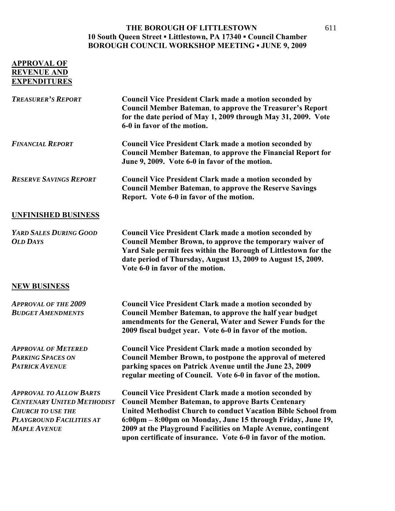#### **THE BOROUGH OF LITTLESTOWN 10 South Queen Street ▪ Littlestown, PA 17340 ▪ Council Chamber BOROUGH COUNCIL WORKSHOP MEETING ▪ JUNE 9, 2009**

# **APPROVAL OF REVENUE AND EXPENDITURES**

| <b>TREASURER'S REPORT</b>                                                                                                                                 | <b>Council Vice President Clark made a motion seconded by</b><br><b>Council Member Bateman, to approve the Treasurer's Report</b><br>for the date period of May 1, 2009 through May 31, 2009. Vote<br>6-0 in favor of the motion.                                                                                                                                                                     |
|-----------------------------------------------------------------------------------------------------------------------------------------------------------|-------------------------------------------------------------------------------------------------------------------------------------------------------------------------------------------------------------------------------------------------------------------------------------------------------------------------------------------------------------------------------------------------------|
| <b>FINANCIAL REPORT</b>                                                                                                                                   | <b>Council Vice President Clark made a motion seconded by</b><br><b>Council Member Bateman, to approve the Financial Report for</b><br>June 9, 2009. Vote 6-0 in favor of the motion.                                                                                                                                                                                                                 |
| <b>RESERVE SAVINGS REPORT</b>                                                                                                                             | <b>Council Vice President Clark made a motion seconded by</b><br><b>Council Member Bateman, to approve the Reserve Savings</b><br>Report. Vote 6-0 in favor of the motion.                                                                                                                                                                                                                            |
| <b>UNFINISHED BUSINESS</b>                                                                                                                                |                                                                                                                                                                                                                                                                                                                                                                                                       |
| YARD SALES DURING GOOD<br><b>OLD DAYS</b>                                                                                                                 | <b>Council Vice President Clark made a motion seconded by</b><br>Council Member Brown, to approve the temporary waiver of<br>Yard Sale permit fees within the Borough of Littlestown for the<br>date period of Thursday, August 13, 2009 to August 15, 2009.<br>Vote 6-0 in favor of the motion.                                                                                                      |
| <b>NEW BUSINESS</b>                                                                                                                                       |                                                                                                                                                                                                                                                                                                                                                                                                       |
| <b>APPROVAL OF THE 2009</b><br><b>BUDGET AMENDMENTS</b>                                                                                                   | <b>Council Vice President Clark made a motion seconded by</b><br>Council Member Bateman, to approve the half year budget<br>amendments for the General, Water and Sewer Funds for the<br>2009 fiscal budget year. Vote 6-0 in favor of the motion.                                                                                                                                                    |
| <b>APPROVAL OF METERED</b><br><b>PARKING SPACES ON</b><br><b>PATRICK AVENUE</b>                                                                           | <b>Council Vice President Clark made a motion seconded by</b><br>Council Member Brown, to postpone the approval of metered<br>parking spaces on Patrick Avenue until the June 23, 2009<br>regular meeting of Council. Vote 6-0 in favor of the motion.                                                                                                                                                |
| <b>APPROVAL TO ALLOW BARTS</b><br><b>CENTENARY UNITED METHODIST</b><br><b>CHURCH TO USE THE</b><br><b>PLAYGROUND FACILITIES AT</b><br><b>MAPLE AVENUE</b> | <b>Council Vice President Clark made a motion seconded by</b><br><b>Council Member Bateman, to approve Barts Centenary</b><br><b>United Methodist Church to conduct Vacation Bible School from</b><br>6:00pm – 8:00pm on Monday, June 15 through Friday, June 19,<br>2009 at the Playground Facilities on Maple Avenue, contingent<br>upon certificate of insurance. Vote 6-0 in favor of the motion. |